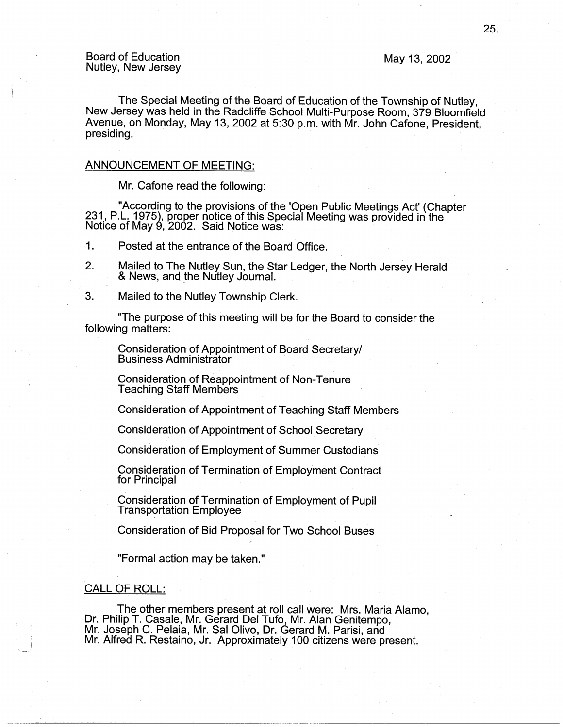# Board of Education Nutley, New Jersey May 13, 2002

The Special Meeting of the Board of Education of the Township of Nutley, New Jersey was held in the Radcliffe School Multi-Purpose Room, 379 Bloomfield Avenue, on Monday, May 13, 2002 at 5:30 p.m. with Mr. John Cafone, President, presiding.

### ANNOUNCEMENT OF MEETING:

Mr. Cafone read the following:

"According to the provisions of the 'Open Public Meetings Act' (Chapter 231, P.L. 1975), proper notice of this Special Meeting was provided in the Notice of May 9, 2002. Said Notice was:

1. Posted at the entrance of the Board Office.

- 2. Mailed to The Nutley Sun, the Star Ledger, the North Jersey Herald & News, and the Nutley Journal.
- 3. Mailed to the Nutley Township Clerk.

"The purpose of this meeting will be for the Board to consider the following matters:

Consideration of Appointment of Board Secretary/ Business Administrator ·

Consideration of Reappointment of Non-Tenure Teaching Staff Members

Consideration of Appointment of Teaching Staff Members

Consideration of Appointment of School Secretary

Consideration of Employment of Summer Custodians

Consideration of Termination of Employment Contract for Principal

Consideration of Termination of Employment of Pupil **Transportation Employee** 

Consideration of Bid Proposal for Two School Buses

"Formal action may be taken."

## CALL OF ROLL:

The other members present at roll call were: Mrs. Maria Alamo, Dr. Philip T. Casale, Mr. Gerard Del Tufo, Mr. Alan Genitempo, Mr. Joseph C. Pelaia, Mr. Sal Olivo, Dr. Gerard M. Parisi, and Mr. Alfred R. Restaino, Jr. Approximately 100 citizens were present.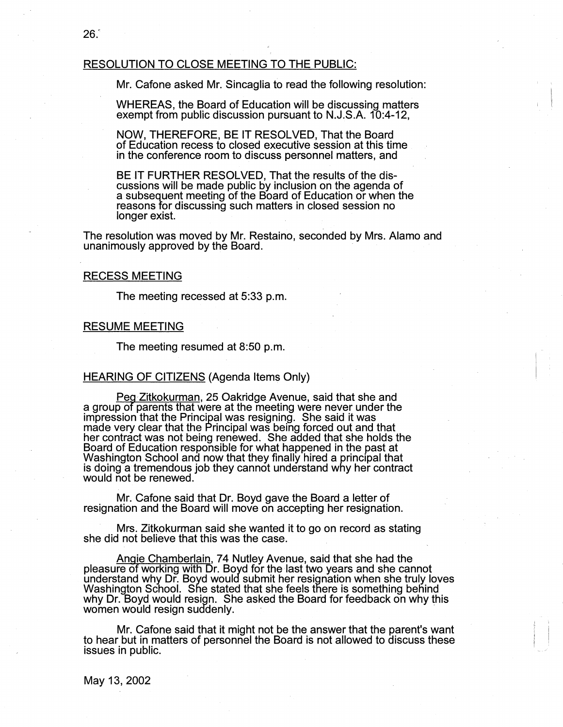# RESOLUTION TO CLOSE MEETING TO THE PUBLIC:

Mr. Cafone asked Mr. Sincaglia to read the following resolution:

'<br>'  $\mathbf{I}$ 

 $\vert \ \ \vert$ 

WHEREAS, the Board of Education will be discussing matters exempt from public discussion pursuant to N.J.S.A. 10:4-12,

NOW, THEREFORE, BE IT RESOLVED, That the Board of Education recess to closed executive session at this time in the conference room to discuss personnel matters, and

BE IT FURTHER RESOLVED, That the results of the discussions will be made public by inclusion on the agenda of a subsequent meeting of the Board of Education or when the reasons for discussing such matters in closed session no longer exist.

The resolution was moved by Mr. Restaino, seconded by Mrs. Alamo and unanimously approved by the Board. ·

#### RECESS MEETING

The meeting recessed at 5:33 p.m.

### RESUME MEETING

The meeting resumed at 8:50 p.m.

### HEARING OF CITIZENS (Agenda Items Only)

<u>Peg Zitkokurman,</u> 25 Oakridge Avenue, said that she and<br>a group of parents that were at the meeting were never under the impression that the Principal was resigning. She said it was made very clear that the Principal was being forced out and that her contract was not being renewed. She added that she holds the Board of Education responsible for what happened in the past at Washington School and now that they finally hired a principal that is doing a tremendous job they cannot understand why her contract<br>would not be renewed.

Mr. Cafone said that Dr. Boyd gave the Board a letter of resignation and the Board will move on accepting her resignation.

· Mrs. Zitkokurman said she wanted it to go on record as stating she did not believe that this was the case. .

Angie Chamberlain, 74 Nutley Avenue, said that she had the pleasure of working with Dr. Boyd for the last two years and she cannot understand why Dr. Boyd would submit her resignation when she truly loves Washington School. She stated that she feels there is something behind why Dr. Boyd would resign. She asked the Board for feedback on why this women would resign suddenly.

Mr. Cafone said that it might not be the answer that the parent's want to hear but in matters of personnel the Board is not allowed to discuss these issues in public.

May 13, 2002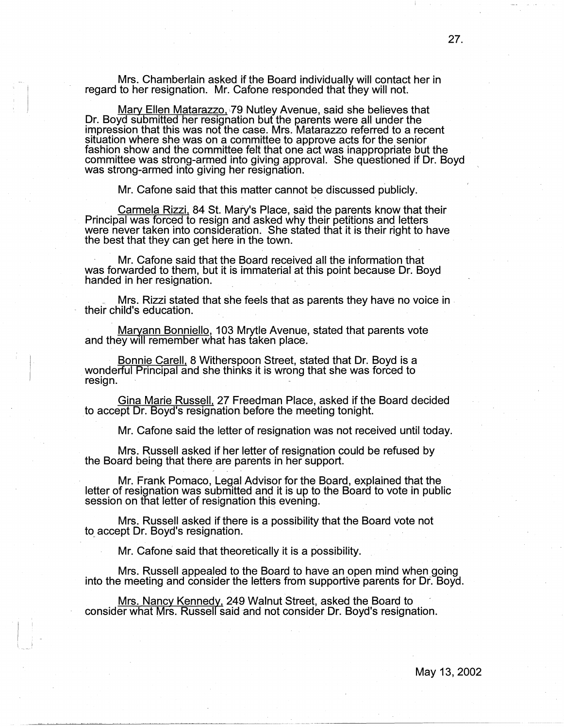Mrs. Chamberlain asked if the Board individually will contact her in regard to her resignation. Mr. Cafone responded that they will not.

<u>Mary Ellen Matarazzo,</u> 79 Nutley Avenue, said she believes that Dr. Boyd submitted her resignation but the parents were all under the impression that this was not the case. Mrs. Matarazzo referred to a recent situation where she was on a committee to approve acts for the senior fashion show and the committee felt that one act was inappropriate but the committee was strong-armed into giving approval. She questioned if Dr. Boyd was strong-armed into giving her resignation.

Mr. Cafone said that this matter cannot be discussed publicly.

Carmela Rizzi, 84 St. Mary's Place, said the parents know that their Principal was forced to resign and asked why their petitions and letters were never taken into consideration. She stated that it is their right to have the best that they can get here in the town.

Mr. Cafone said that the Board received all the information that was forwarded to them, but it is immaterial at this point because Dr. Boyd handed in her resignation.

\_ Mrs. Rizzi stated that she feels that as parents they have no voice in their child's education.

Maryann Bonniello, 103 Mrytle Avenue, stated that parents vote and they will remember what has taken place.

Bonnie Carell, 8 Witherspoon Street, stated that Dr. Boyd is a wonderful Principal and she thinks it is wrong that she was forced to resign.

Gina Marie Russell, 27 Freedman Place, asked if the Board decided to accept Dr. Boyd's resignation before the meeting tonight.

Mr. Cafone said the letter of resignation was not received until today.

Mrs. Russell asked if her letter of resignation could be refused by the Board being that there are parents in her support.

Mr. Frank Pomaco, Legal Advisor for the Board, explained that the letter of resignation was submitted and it is up to the Board to vote in public session on that letter of resignation this evening. .

Mrs. Russell asked if there is a possibility that the Board vote not to accept Dr. Boyd's resignation.

Mr. Cafone said that theoretically it is a possibility.

Mrs. Russell appealed to the Board to have an open mind when going into the meeting and consider the letters from supportive parents for Dr. Boyd.

Mrs. Nancy Kennedy, 249 Walnut Street, asked the Board to consider what Mrs. Russell said and not consider Dr. Boyd's resignation.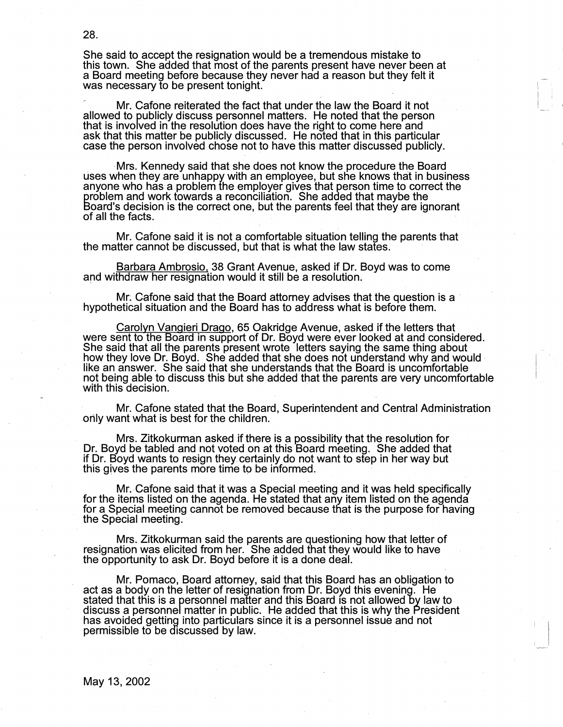She said to accept the resignation would be a tremendous mistake to this town. She added that most of the parents present have never been at a Board meeting before because they never had a reason but they felt it was necessary to be present tonight.

 $\mathbb{R}^n$  $\vert \cdot \vert$ 

Mr. Cafone reiterated the fact that under the law the Board it not allowed to publicly discuss personnel matters. He noted that the person that is involved in the resolution does have the right to come here and ask that this matter be publicly discusseq. He noted that in this particular case the person involved chose not to have this matter discussed publicly.

-Mrs. Kennedy said that she does not know the procedure the Board uses when they are unhappy with an employee, but she knows that in business anyone who has a problem the employer gives that person time to correct the problem and work towards a reconciliation. She added that maybe the Board's decision is the correct one, but the parents feel that they are ignorant of all the facts.

Mr. Cafone said it is not a comfortable situation telling the parents that the matter cannot be discussed, but that is what the law states.

Barbara Ambrosio, 38 Grant Avenue, asked if Dr. Boyd was to come and withdraw her resignation would it still be a resolution.

Mr: Cafone said that the Board attorney advises that the question is a hypothetical situation and the Board has to address what is before them.

Carolyn Vangieri Drago, 65 Oakridge Avenue, asked if the letters that were sent to the Board in support of Dr. Boyd were ever looked at and considered. She said that all the parents present wrote letters saying the same thing about how they love Dr. Boyd. She added that she does not understand why and would. like an answer. She said that she understands that the Board is uncomfortable not being able to discuss this but she added that the parents are very uncomfortable with this decision.

Mr. Cafone stated that the Board, Superintendent and Central Administration -0nly want what is best for the children.

Mrs. Zitkokurman asked if there is a possibility that the resolution for Dr. Boyd be tabled and not voted on at this Board meeting. She added that if Dr. Boyd wants to resign they\_certainly do not want to step in her way but this gives the parents more time to be informed.

Mr.-Cafone said that it was a Special meeting and it was held specifically for the items listed on the agenda. He stated that any item listed on the agenda for a Special meeting cannot be removed because that is the purpose for having the Special meeting.

Mrs. Zitkokurman said the parents are questioning how that letter of resignation was elicited from her. She added that they would like to have the opportunity to ask Dr. Boyd before it is a done deal.

Mr. Pomaco, Board attorney, said that this Board has an obligation to act as a body on the letter of resignation from Dr. Boyd this evening. He stated that this is a personnel matter and this Board is not allowed by law to discuss a personnel matter in public. He added that this is why the President has avoided getting into particulars since it is a personnel issue and not permissible to be discussed by law. .

May 13, 2002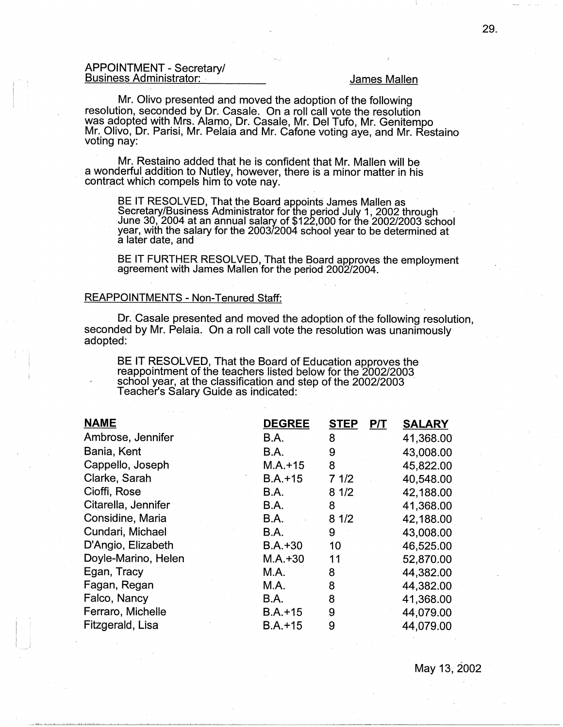## APPOINTMENT - Secretary/ **Business Administrator:** *Business Administrator: James Mallen*

 $\mathbf{I} = \mathbf{I}$ I i

Mr. Olivo presented and moved the adoption of the following resolution, seconded by Dr. Casale. On a roll call vote the resolution was adopted with Mrs. Alamo, Dr. Casale, Mr. Del Tufo, Mr. Genitempo Mr. Olivo, Dr. Parisi, Mr. Pelaia and Mr. Catone voting aye, and Mr. Restaino voting nay:

Mr. Restaino added that he is confident that Mr. Mallen will be a wonderful addition to Nutley, however, there is a minor matter in his contract which compels him to vote nay.

BE IT RESOLVED, That the Board appoints James Mallen as<br>Secretary/Business Administrator for the period July 1, 2002 through<br>June 30, 2004 at an annual salary of \$122,000 for the 2002/2003 school year, with the salary for the 2003/2004·school year to be determined at a later date, and

BE IT FURTHER RESOLVED, That the Board approves the employment agreement with James Mallen for the period 2002/2004.

# REAPPOINTMENTS - Non-Tenured Staff:

Dr. Casale presented and moved the adoption of the following resolution, seconded by Mr. Pelaia. On a roll call vote the resolution was unanimously adopted:

BE IT RESOLVED, That the Board of Education approves the reappointment of the teachers listed below for the 2002/2003 school year, at the classification and step of the 2002/2003 Teacher's Salary Guide as indicated:

| <b>NAME</b>         | <b>DEGREE</b> | P/T<br><b>STEP</b> | <b>SALARY</b> |
|---------------------|---------------|--------------------|---------------|
| Ambrose, Jennifer   | <b>B.A.</b>   | 8                  | 41,368.00     |
| Bania, Kent         | <b>B.A.</b>   | 9                  | 43,008.00     |
| Cappello, Joseph    | $M.A. + 15$   | 8                  | 45,822.00     |
| Clarke, Sarah       | $B.A. + 15$   | 71/2               | 40,548.00     |
| Cioffi, Rose        | B.A.          | 81/2               | 42,188.00     |
| Citarella, Jennifer | B.A.          | 8                  | 41,368.00     |
| Considine, Maria    | B.A.          | 81/2               | 42,188.00     |
| Cundari, Michael    | <b>B.A.</b>   | 9                  | 43,008.00     |
| D'Angio, Elizabeth  | $B.A.+30$     | 10                 | 46,525.00     |
| Doyle-Marino, Helen | $M.A.+30$     | 11                 | 52,870.00     |
| Egan, Tracy         | M.A.          | 8                  | 44,382.00     |
| Fagan, Regan        | M.A.          | 8                  | 44,382.00     |
| Falco, Nancy        | B.A.          | 8                  | 41,368.00     |
| Ferraro, Michelle   | $B.A. + 15$   | 9                  | 44,079.00     |
| Fitzgerald, Lisa    | $B.A.+15$     | 9                  | 44,079.00     |

May 13, 2002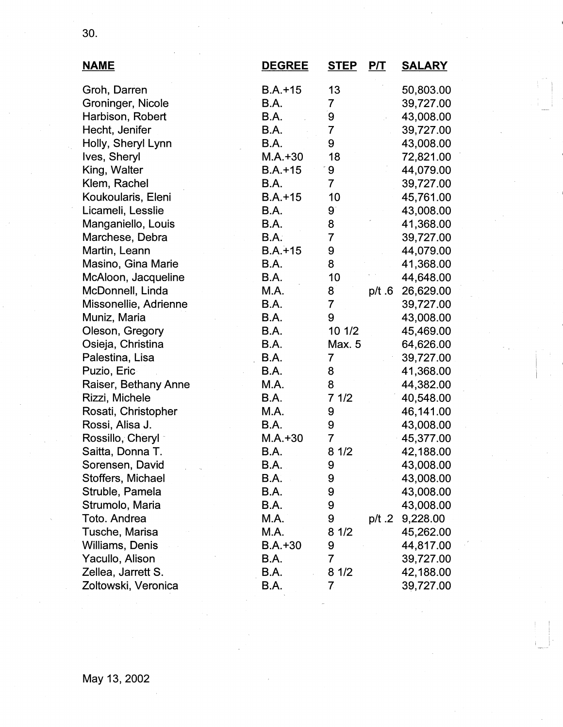| <b>NAME</b>           | <b>DEGREE</b> | <b>STEP</b>    | P/T      | <b>SALARY</b> |
|-----------------------|---------------|----------------|----------|---------------|
| Groh, Darren          | $B.A.+15$     | 13             |          | 50,803.00     |
| Groninger, Nicole     | <b>B.A.</b>   | 7              |          | 39,727.00     |
| Harbison, Robert      | B.A.          | 9              |          | 43,008.00     |
| Hecht, Jenifer        | B.A.          | $\overline{7}$ |          | 39,727.00     |
| Holly, Sheryl Lynn    | <b>B.A.</b>   | 9              |          | 43,008.00     |
| Ives, Sheryl          | $M.A.+30$     | 18             |          | 72,821.00     |
| King, Walter          | $B.A.+15$     | 9              |          | 44,079.00     |
| Klem, Rachel          | B.A.          | $\overline{7}$ |          | 39,727.00     |
| Koukoularis, Eleni    | $B.A.+15$     | 10             |          | 45,761.00     |
| Licameli, Lesslie     | B.A.          | 9              |          | 43,008.00     |
| Manganiello, Louis    | <b>B.A.</b>   | 8              |          | 41,368.00     |
| Marchese, Debra       | B.A.          | 7              |          | 39,727.00     |
| Martin, Leann         | $B.A. + 15$   | 9              |          | 44,079.00     |
| Masino, Gina Marie    | B.A.          | 8              |          | 41,368.00     |
| McAloon, Jacqueline   | <b>B.A.</b>   | 10             |          | 44,648.00     |
| McDonnell, Linda      | M.A.          | 8              | p/t.6    | 26,629.00     |
| Missonellie, Adrienne | B.A.          | $\overline{7}$ |          | 39,727.00     |
| Muniz, Maria          | <b>B.A.</b>   | 9              |          | 43,008.00     |
| Oleson, Gregory       | B.A.          | 10 1/2         |          | 45,469.00     |
| Osieja, Christina     | B.A.          | Max. 5         |          | 64,626.00     |
| Palestina, Lisa       | B.A.          | $\overline{7}$ |          | 39,727.00     |
| Puzio, Eric           | B.A.          | 8              |          | 41,368.00     |
| Raiser, Bethany Anne  | M.A.          | 8              |          | 44,382.00     |
| Rizzi, Michele        | B.A.          | 71/2           |          | 40,548.00     |
| Rosati, Christopher   | M.A.          | 9              |          | 46,141.00     |
| Rossi, Alisa J.       | B.A.          | 9              |          | 43,008.00     |
| Rossillo, Cheryl      | $M.A. + 30$   | $\overline{7}$ |          | 45,377.00     |
| Saitta, Donna T.      | B.A.          | 81/2           |          | 42,188.00     |
| Sorensen, David       | B.A.          | 9              |          | 43,008.00     |
| Stoffers, Michael     | B.A.          | 9              |          | 43,008.00     |
| Struble, Pamela       | B.A.          | 9              |          | 43,008.00     |
| Strumolo, Maria       | B.A.          | 9              |          | 43,008.00     |
| Toto. Andrea          | M.A.          | 9              | $p/t$ .2 | 9,228.00      |
| Tusche, Marisa        | M.A.          | 8<br>1/2       |          | 45,262.00     |
| Williams, Denis       | $B.A.+30$     | 9              |          | 44,817.00     |
| Yacullo, Alison       | B.A.          | $\overline{7}$ |          | 39,727.00     |
| Zellea, Jarrett S.    | B.A.          | 81/2           |          | 42,188.00     |
| Zoltowski, Veronica   | <b>B.A.</b>   | $\overline{7}$ |          | 39,727.00     |

30.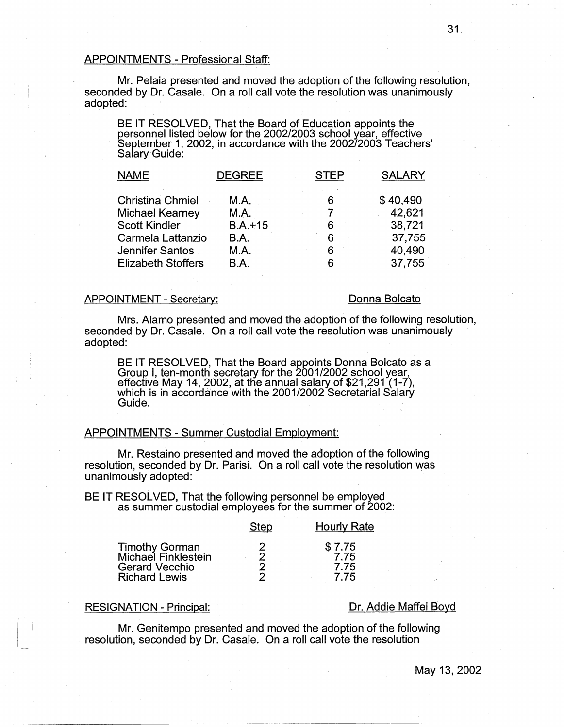## APPOINTMENTS - Professional Staff:

Mr. Pelaia presented and moved the adoption of the following resolution, seconded by Dr. Casale. On a roll call vote the resolution was unanimously adopted:

BE IT RESOLVED, That the Board of Education appoints the personnel listed below for the 2002/2003 school year, effective September 1, 2002, in accordance with the 2002/2003 Teachers' Salary Guide:

| <b>DEGREE</b> | <b>STEP</b> | <b>SALARY</b> |
|---------------|-------------|---------------|
| M.A.          | 6           | \$40,490      |
| M.A.          |             | 42,621        |
| $B.A.+15$     | 6           | 38,721        |
| B.A.          | 6           | 37,755        |
| M.A.          | 6           | 40,490        |
| <b>B.A.</b>   | 6           | 37,755        |
|               |             |               |

### APPOINTMENT - Secretary:

# Donna Bolcato

Mrs. Alamo presented and moved the adoption of the following resolution, seconded by Dr. Casale. On a roll call vote the resolution was unanimously adopted:

BE IT RESOLVED, That the Board appoints Donna Bolcato as a Group I, ten-month secretary for the 2001/2002 school year, effective May 14, 2002, at the annual salary of \$21,291 (1-7), which is in accordance with the 2001/2002 Secretarial Salary Guide.

## APPOINTMENTS - Summer Custodial Employment:

Mr. Restaino presented and moved the adoption of the following resolution, seconded by Dr. Parisi. On a roll call vote the resolution was unanimously adopted:

BE IT RESOLVED, That the following personnel be employed as summer custodial employees for the summer of 2002:

| \$7.75<br>Timothy Gorman<br>Michael Finklestein<br>7.75<br>Gerard Vecchio<br>7.75<br><b>Richard Lewis</b><br>7 75 |  |
|-------------------------------------------------------------------------------------------------------------------|--|

# RESIGNATION - Principal: **DR. Addie Maffei Boyd** Dr. Addie Maffei Boyd

---------- ---~~~~~------- ··-----·------------

Mr. Genitempo presented and moved the adoption of the following resolution, seconded by Dr. Casale. On a roll call vote the resolution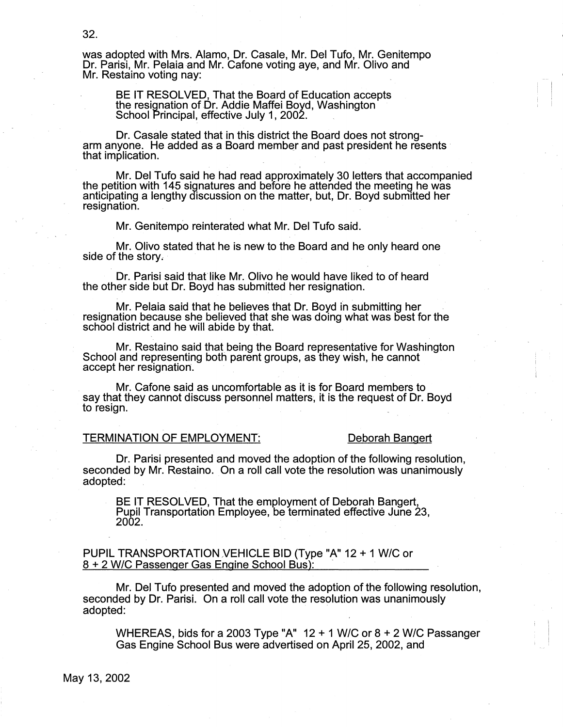was adopted with Mrs. Alamo, Dr. Casale, Mr. Del Tufo, Mr. Genitempo Dr. Parisi, Mr. Pelaia and Mr. Cafone voting aye, and Mr. Olivo and Mr. Restaino voting nay:

BE IT RESOLVED, That the Board of Education accepts the resignation of Dr. Addie Maffei Boyd, Washington School Principal, effective July 1, 2002.

Dr. Casale stated that in this district the Board does not strongarm anyone. He added as a Board member and past president he resents that implication.

Mr. Del Tufo said he had read approximately 30 letters that accompanied the petition with 145 signatures and before he attended the meetinQ he was anticipating a lengthy discussion on the matter, but, Dr. Boyd submitted her resignation.

Mr. Genitempo reinterated what Mr. Del Tufo said.

Mr. Olivo stated that he is new to the Board and he only heard one side of the story.

Dr. Parisi said that like Mr. Olivo he would have liked to of heard the other side but Dr. Boyd has submitted her resignation.

Mr. Petaia said that he believes that Dr. Boyd in submitting her .<br>resignation because she believed that she was doing what was best for the school district and he will abide by that.

Mr. Restaino said that\_ being the Board representative for Washington School and representing both parent groups, as they wish, he cannot accept her resignation.

Mr. Cafone said as uncomfortable as it is for Board members to say that they cannot discuss personnel matters; it is the request of Dr. Boyd to resign.

# TERMINATION OF EMPLOYMENT: Deborah Bangert

Dr. Parisi presented and moved the adoption of the following resolution, seconded by Mr. Restaino. On a roll call vote the resolution was unanimously adopted:

BE IT RESOLVED, That the employment of Deborah Bangert, Pupil Transportation Employee, be terminated effective June 23,  $2002.$ 

PUPIL TRANSPORTATION VEHICLE BID (Type "A" 12 + 1 W/C or 8 + 2 W/C Passenger Gas Engine School Bus):

Mr. Del Tufo presented and moved the adoption of the following resolution, seconded by Dr. Parisi. On a roll call vote the resolution was unanimously adopted:

WHEREAS, bids for a 2003 Type "A" 12 + 1 W/C or 8 + 2 W/C Passanger Gas Engine School Bus were advertised on April 25, 2002, and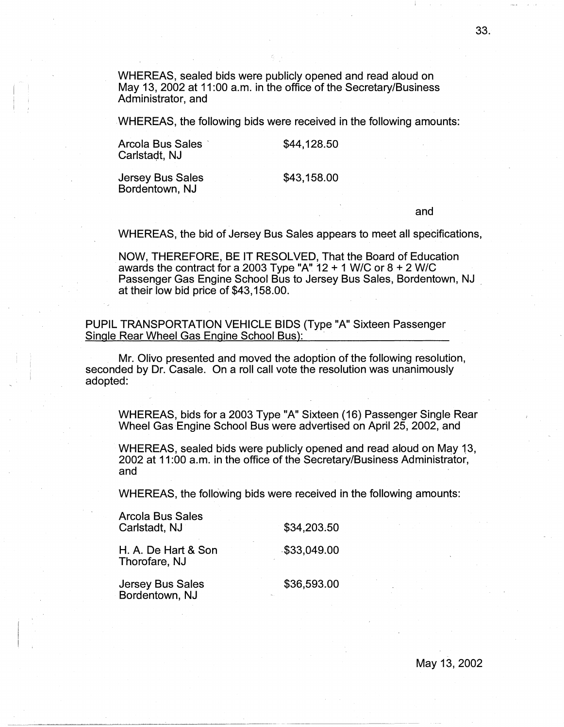WHEREAS, sealed bids were publicly opened and read aloud on May 13, 2002 at 11:00 a.m. in the office of the Secretary/Business Administrator, and

WHEREAS, the following bids were received in the following amounts:

Arcola Bus Sales · Carlstadt, NJ

\$44,128.50

\$43,158.00

Jersey Bus Sales Bordentown, NJ

and

WHEREAS, the bid of Jersey Bus Sales appears to meet all specifications,

NOW, THEREFORE, BE IT RESOLVED, That the Board of Education awards the contract for a 2003 Type "A" 12 + 1 W/C or 8 + 2 W/C Passenger Gas Engine School Bus to Jersey Bus Sales, Bordentown, NJ . at their low bid price of \$43,158.00.

PUPIL TRANSPORTATION VEHICLE BIDS (Type "A" Sixteen Passenger Single Rear Wheel Gas Engine School Bus):

Mr. Olivo presented and moved the adoption of the following resolution, seconded by Dr. Casale. On a roll call vote the resolution was unanimously adopted:

WHEREAS, bids for a 2003 Type "A" Sixteen (16) Passenger Single Rear Wheel Gas Engine School Bus were advertised on April 25, 2002, and

WHEREAS, sealed bids were publicly opened and read aloud on May 13, 2002 at 11 :00 a.m. in the office of the Secretary/Business Administrator, and

WHEREAS, the following bids were received in the following amounts:

| Arcola Bus Sales<br>Carlstadt, NJ    | \$34,203.50 |
|--------------------------------------|-------------|
| H. A. De Hart & Son<br>Thorofare, NJ | \$33,049.00 |
| Jersey Bus Sales<br>Bordentown, NJ   | \$36,593.00 |